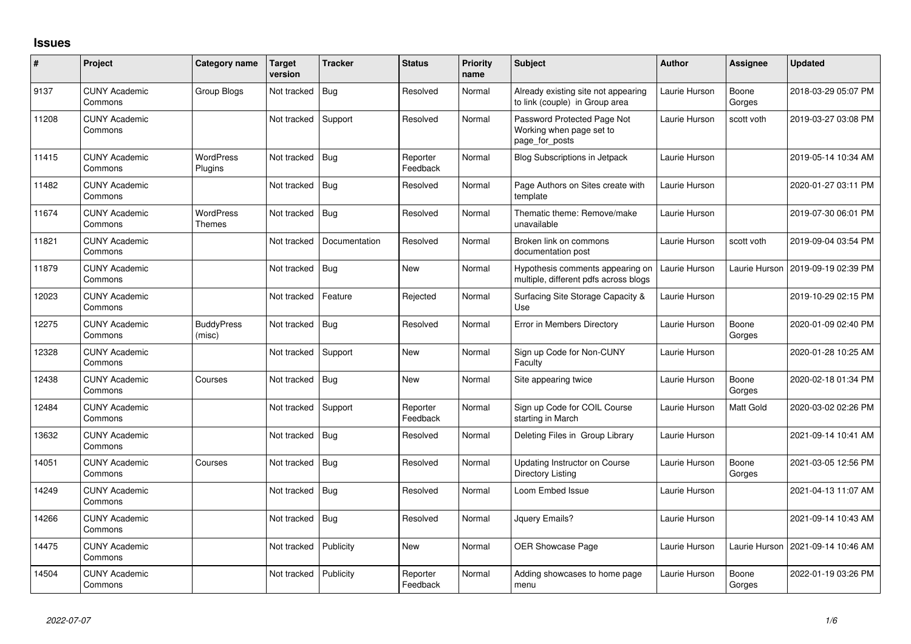## **Issues**

| #     | Project                         | Category name               | Target<br>version | <b>Tracker</b> | <b>Status</b>        | Priority<br>name | <b>Subject</b>                                                            | <b>Author</b> | Assignee        | <b>Updated</b>      |
|-------|---------------------------------|-----------------------------|-------------------|----------------|----------------------|------------------|---------------------------------------------------------------------------|---------------|-----------------|---------------------|
| 9137  | <b>CUNY Academic</b><br>Commons | Group Blogs                 | Not tracked       | Bug            | Resolved             | Normal           | Already existing site not appearing<br>to link (couple) in Group area     | Laurie Hurson | Boone<br>Gorges | 2018-03-29 05:07 PM |
| 11208 | <b>CUNY Academic</b><br>Commons |                             | Not tracked       | Support        | Resolved             | Normal           | Password Protected Page Not<br>Working when page set to<br>page_for_posts | Laurie Hurson | scott voth      | 2019-03-27 03:08 PM |
| 11415 | <b>CUNY Academic</b><br>Commons | <b>WordPress</b><br>Plugins | Not tracked       | Bug            | Reporter<br>Feedback | Normal           | Blog Subscriptions in Jetpack                                             | Laurie Hurson |                 | 2019-05-14 10:34 AM |
| 11482 | <b>CUNY Academic</b><br>Commons |                             | Not tracked       | Bug            | Resolved             | Normal           | Page Authors on Sites create with<br>template                             | Laurie Hurson |                 | 2020-01-27 03:11 PM |
| 11674 | <b>CUNY Academic</b><br>Commons | <b>WordPress</b><br>Themes  | Not tracked       | Bug            | Resolved             | Normal           | Thematic theme: Remove/make<br>unavailable                                | Laurie Hurson |                 | 2019-07-30 06:01 PM |
| 11821 | <b>CUNY Academic</b><br>Commons |                             | Not tracked       | Documentation  | Resolved             | Normal           | Broken link on commons<br>documentation post                              | Laurie Hurson | scott voth      | 2019-09-04 03:54 PM |
| 11879 | <b>CUNY Academic</b><br>Commons |                             | Not tracked       | Bug            | <b>New</b>           | Normal           | Hypothesis comments appearing on<br>multiple, different pdfs across blogs | Laurie Hurson | Laurie Hurson   | 2019-09-19 02:39 PM |
| 12023 | <b>CUNY Academic</b><br>Commons |                             | Not tracked       | Feature        | Rejected             | Normal           | Surfacing Site Storage Capacity &<br>Use                                  | Laurie Hurson |                 | 2019-10-29 02:15 PM |
| 12275 | <b>CUNY Academic</b><br>Commons | <b>BuddyPress</b><br>(misc) | Not tracked       | Bug            | Resolved             | Normal           | <b>Error in Members Directory</b>                                         | Laurie Hurson | Boone<br>Gorges | 2020-01-09 02:40 PM |
| 12328 | <b>CUNY Academic</b><br>Commons |                             | Not tracked       | Support        | New                  | Normal           | Sign up Code for Non-CUNY<br>Faculty                                      | Laurie Hurson |                 | 2020-01-28 10:25 AM |
| 12438 | <b>CUNY Academic</b><br>Commons | Courses                     | Not tracked       | Bug            | <b>New</b>           | Normal           | Site appearing twice                                                      | Laurie Hurson | Boone<br>Gorges | 2020-02-18 01:34 PM |
| 12484 | <b>CUNY Academic</b><br>Commons |                             | Not tracked       | Support        | Reporter<br>Feedback | Normal           | Sign up Code for COIL Course<br>starting in March                         | Laurie Hurson | Matt Gold       | 2020-03-02 02:26 PM |
| 13632 | <b>CUNY Academic</b><br>Commons |                             | Not tracked       | Bug            | Resolved             | Normal           | Deleting Files in Group Library                                           | Laurie Hurson |                 | 2021-09-14 10:41 AM |
| 14051 | <b>CUNY Academic</b><br>Commons | Courses                     | Not tracked       | Bug            | Resolved             | Normal           | <b>Updating Instructor on Course</b><br><b>Directory Listing</b>          | Laurie Hurson | Boone<br>Gorges | 2021-03-05 12:56 PM |
| 14249 | <b>CUNY Academic</b><br>Commons |                             | Not tracked       | Bug            | Resolved             | Normal           | Loom Embed Issue                                                          | Laurie Hurson |                 | 2021-04-13 11:07 AM |
| 14266 | <b>CUNY Academic</b><br>Commons |                             | Not tracked       | Bug            | Resolved             | Normal           | Jquery Emails?                                                            | Laurie Hurson |                 | 2021-09-14 10:43 AM |
| 14475 | <b>CUNY Academic</b><br>Commons |                             | Not tracked       | Publicity      | New                  | Normal           | <b>OER Showcase Page</b>                                                  | Laurie Hurson | Laurie Hurson   | 2021-09-14 10:46 AM |
| 14504 | <b>CUNY Academic</b><br>Commons |                             | Not tracked       | Publicity      | Reporter<br>Feedback | Normal           | Adding showcases to home page<br>menu                                     | Laurie Hurson | Boone<br>Gorges | 2022-01-19 03:26 PM |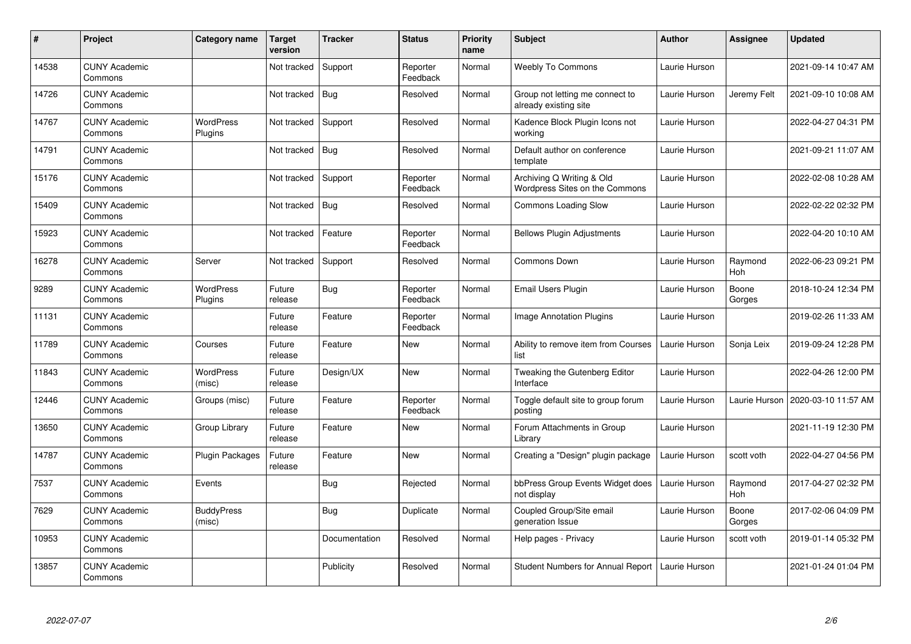| #     | Project                         | Category name               | <b>Target</b><br>version | <b>Tracker</b> | <b>Status</b>        | <b>Priority</b><br>name | <b>Subject</b>                                              | <b>Author</b> | <b>Assignee</b>       | <b>Updated</b>      |
|-------|---------------------------------|-----------------------------|--------------------------|----------------|----------------------|-------------------------|-------------------------------------------------------------|---------------|-----------------------|---------------------|
| 14538 | <b>CUNY Academic</b><br>Commons |                             | Not tracked              | Support        | Reporter<br>Feedback | Normal                  | <b>Weebly To Commons</b>                                    | Laurie Hurson |                       | 2021-09-14 10:47 AM |
| 14726 | <b>CUNY Academic</b><br>Commons |                             | Not tracked              | Bug            | Resolved             | Normal                  | Group not letting me connect to<br>already existing site    | Laurie Hurson | Jeremy Felt           | 2021-09-10 10:08 AM |
| 14767 | <b>CUNY Academic</b><br>Commons | <b>WordPress</b><br>Plugins | Not tracked              | Support        | Resolved             | Normal                  | Kadence Block Plugin Icons not<br>working                   | Laurie Hurson |                       | 2022-04-27 04:31 PM |
| 14791 | <b>CUNY Academic</b><br>Commons |                             | Not tracked              | Bug            | Resolved             | Normal                  | Default author on conference<br>template                    | Laurie Hurson |                       | 2021-09-21 11:07 AM |
| 15176 | <b>CUNY Academic</b><br>Commons |                             | Not tracked              | Support        | Reporter<br>Feedback | Normal                  | Archiving Q Writing & Old<br>Wordpress Sites on the Commons | Laurie Hurson |                       | 2022-02-08 10:28 AM |
| 15409 | <b>CUNY Academic</b><br>Commons |                             | Not tracked              | Bug            | Resolved             | Normal                  | <b>Commons Loading Slow</b>                                 | Laurie Hurson |                       | 2022-02-22 02:32 PM |
| 15923 | <b>CUNY Academic</b><br>Commons |                             | Not tracked              | Feature        | Reporter<br>Feedback | Normal                  | <b>Bellows Plugin Adjustments</b>                           | Laurie Hurson |                       | 2022-04-20 10:10 AM |
| 16278 | <b>CUNY Academic</b><br>Commons | Server                      | Not tracked              | Support        | Resolved             | Normal                  | <b>Commons Down</b>                                         | Laurie Hurson | Raymond<br>Hoh        | 2022-06-23 09:21 PM |
| 9289  | <b>CUNY Academic</b><br>Commons | <b>WordPress</b><br>Plugins | Future<br>release        | Bug            | Reporter<br>Feedback | Normal                  | <b>Email Users Plugin</b>                                   | Laurie Hurson | Boone<br>Gorges       | 2018-10-24 12:34 PM |
| 11131 | <b>CUNY Academic</b><br>Commons |                             | Future<br>release        | Feature        | Reporter<br>Feedback | Normal                  | <b>Image Annotation Plugins</b>                             | Laurie Hurson |                       | 2019-02-26 11:33 AM |
| 11789 | <b>CUNY Academic</b><br>Commons | Courses                     | Future<br>release        | Feature        | <b>New</b>           | Normal                  | Ability to remove item from Courses<br>list                 | Laurie Hurson | Sonja Leix            | 2019-09-24 12:28 PM |
| 11843 | <b>CUNY Academic</b><br>Commons | WordPress<br>(misc)         | Future<br>release        | Design/UX      | New                  | Normal                  | Tweaking the Gutenberg Editor<br>Interface                  | Laurie Hurson |                       | 2022-04-26 12:00 PM |
| 12446 | <b>CUNY Academic</b><br>Commons | Groups (misc)               | Future<br>release        | Feature        | Reporter<br>Feedback | Normal                  | Toggle default site to group forum<br>postina               | Laurie Hurson | Laurie Hurson         | 2020-03-10 11:57 AM |
| 13650 | <b>CUNY Academic</b><br>Commons | Group Library               | Future<br>release        | Feature        | <b>New</b>           | Normal                  | Forum Attachments in Group<br>Library                       | Laurie Hurson |                       | 2021-11-19 12:30 PM |
| 14787 | <b>CUNY Academic</b><br>Commons | <b>Plugin Packages</b>      | Future<br>release        | Feature        | <b>New</b>           | Normal                  | Creating a "Design" plugin package                          | Laurie Hurson | scott voth            | 2022-04-27 04:56 PM |
| 7537  | <b>CUNY Academic</b><br>Commons | Events                      |                          | Bug            | Rejected             | Normal                  | bbPress Group Events Widget does<br>not display             | Laurie Hurson | Raymond<br><b>Hoh</b> | 2017-04-27 02:32 PM |
| 7629  | <b>CUNY Academic</b><br>Commons | <b>BuddyPress</b><br>(misc) |                          | <b>Bug</b>     | Duplicate            | Normal                  | Coupled Group/Site email<br>generation Issue                | Laurie Hurson | Boone<br>Gorges       | 2017-02-06 04:09 PM |
| 10953 | <b>CUNY Academic</b><br>Commons |                             |                          | Documentation  | Resolved             | Normal                  | Help pages - Privacy                                        | Laurie Hurson | scott voth            | 2019-01-14 05:32 PM |
| 13857 | <b>CUNY Academic</b><br>Commons |                             |                          | Publicity      | Resolved             | Normal                  | Student Numbers for Annual Report                           | Laurie Hurson |                       | 2021-01-24 01:04 PM |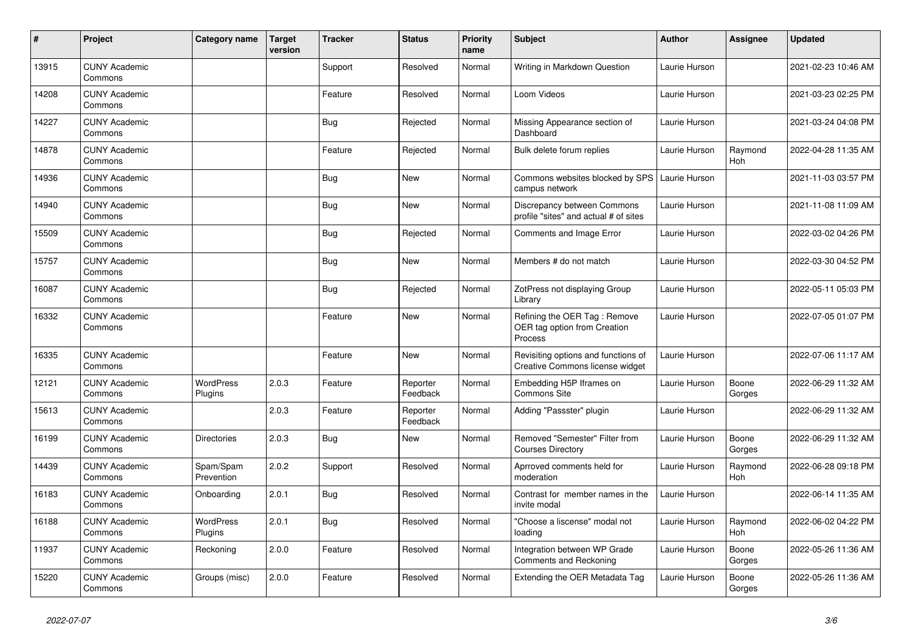| #     | Project                         | Category name               | <b>Target</b><br>version | <b>Tracker</b> | <b>Status</b>        | <b>Priority</b><br>name | <b>Subject</b>                                                          | <b>Author</b> | <b>Assignee</b>       | <b>Updated</b>      |
|-------|---------------------------------|-----------------------------|--------------------------|----------------|----------------------|-------------------------|-------------------------------------------------------------------------|---------------|-----------------------|---------------------|
| 13915 | <b>CUNY Academic</b><br>Commons |                             |                          | Support        | Resolved             | Normal                  | Writing in Markdown Question                                            | Laurie Hurson |                       | 2021-02-23 10:46 AM |
| 14208 | <b>CUNY Academic</b><br>Commons |                             |                          | Feature        | Resolved             | Normal                  | Loom Videos                                                             | Laurie Hurson |                       | 2021-03-23 02:25 PM |
| 14227 | <b>CUNY Academic</b><br>Commons |                             |                          | Bug            | Rejected             | Normal                  | Missing Appearance section of<br>Dashboard                              | Laurie Hurson |                       | 2021-03-24 04:08 PM |
| 14878 | <b>CUNY Academic</b><br>Commons |                             |                          | Feature        | Rejected             | Normal                  | Bulk delete forum replies                                               | Laurie Hurson | Raymond<br>Hoh        | 2022-04-28 11:35 AM |
| 14936 | <b>CUNY Academic</b><br>Commons |                             |                          | <b>Bug</b>     | <b>New</b>           | Normal                  | Commons websites blocked by SPS<br>campus network                       | Laurie Hurson |                       | 2021-11-03 03:57 PM |
| 14940 | <b>CUNY Academic</b><br>Commons |                             |                          | <b>Bug</b>     | <b>New</b>           | Normal                  | Discrepancy between Commons<br>profile "sites" and actual # of sites    | Laurie Hurson |                       | 2021-11-08 11:09 AM |
| 15509 | <b>CUNY Academic</b><br>Commons |                             |                          | <b>Bug</b>     | Rejected             | Normal                  | <b>Comments and Image Error</b>                                         | Laurie Hurson |                       | 2022-03-02 04:26 PM |
| 15757 | <b>CUNY Academic</b><br>Commons |                             |                          | <b>Bug</b>     | <b>New</b>           | Normal                  | Members # do not match                                                  | Laurie Hurson |                       | 2022-03-30 04:52 PM |
| 16087 | <b>CUNY Academic</b><br>Commons |                             |                          | Bug            | Rejected             | Normal                  | ZotPress not displaying Group<br>Library                                | Laurie Hurson |                       | 2022-05-11 05:03 PM |
| 16332 | <b>CUNY Academic</b><br>Commons |                             |                          | Feature        | <b>New</b>           | Normal                  | Refining the OER Tag: Remove<br>OER tag option from Creation<br>Process | Laurie Hurson |                       | 2022-07-05 01:07 PM |
| 16335 | <b>CUNY Academic</b><br>Commons |                             |                          | Feature        | <b>New</b>           | Normal                  | Revisiting options and functions of<br>Creative Commons license widget  | Laurie Hurson |                       | 2022-07-06 11:17 AM |
| 12121 | <b>CUNY Academic</b><br>Commons | WordPress<br>Plugins        | 2.0.3                    | Feature        | Reporter<br>Feedback | Normal                  | Embedding H5P Iframes on<br>Commons Site                                | Laurie Hurson | Boone<br>Gorges       | 2022-06-29 11:32 AM |
| 15613 | <b>CUNY Academic</b><br>Commons |                             | 2.0.3                    | Feature        | Reporter<br>Feedback | Normal                  | Adding "Passster" plugin                                                | Laurie Hurson |                       | 2022-06-29 11:32 AM |
| 16199 | <b>CUNY Academic</b><br>Commons | <b>Directories</b>          | 2.0.3                    | <b>Bug</b>     | New                  | Normal                  | Removed "Semester" Filter from<br><b>Courses Directory</b>              | Laurie Hurson | Boone<br>Gorges       | 2022-06-29 11:32 AM |
| 14439 | <b>CUNY Academic</b><br>Commons | Spam/Spam<br>Prevention     | 2.0.2                    | Support        | Resolved             | Normal                  | Aprroved comments held for<br>moderation                                | Laurie Hurson | Raymond<br>Hoh        | 2022-06-28 09:18 PM |
| 16183 | <b>CUNY Academic</b><br>Commons | Onboarding                  | 2.0.1                    | Bug            | Resolved             | Normal                  | Contrast for member names in the<br>invite modal                        | Laurie Hurson |                       | 2022-06-14 11:35 AM |
| 16188 | <b>CUNY Academic</b><br>Commons | <b>WordPress</b><br>Plugins | 2.0.1                    | <b>Bug</b>     | Resolved             | Normal                  | "Choose a liscense" modal not<br>loading                                | Laurie Hurson | Raymond<br><b>Hoh</b> | 2022-06-02 04:22 PM |
| 11937 | <b>CUNY Academic</b><br>Commons | Reckoning                   | 2.0.0                    | Feature        | Resolved             | Normal                  | Integration between WP Grade<br><b>Comments and Reckoning</b>           | Laurie Hurson | Boone<br>Gorges       | 2022-05-26 11:36 AM |
| 15220 | <b>CUNY Academic</b><br>Commons | Groups (misc)               | 2.0.0                    | Feature        | Resolved             | Normal                  | Extending the OER Metadata Tag                                          | Laurie Hurson | Boone<br>Gorges       | 2022-05-26 11:36 AM |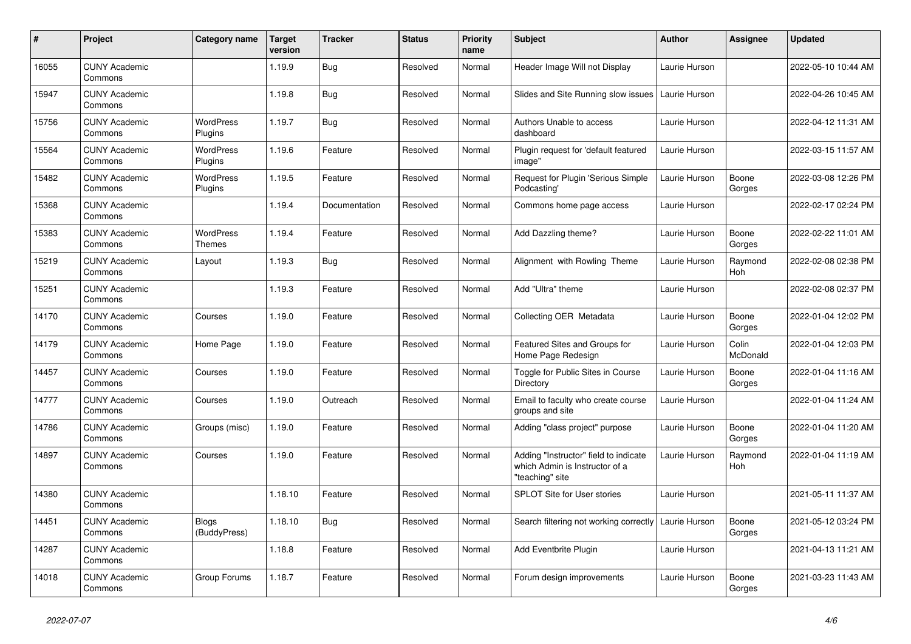| $\pmb{\#}$ | <b>Project</b>                  | Category name                | <b>Target</b><br>version | <b>Tracker</b> | <b>Status</b> | <b>Priority</b><br>name | <b>Subject</b>                                                                             | <b>Author</b> | <b>Assignee</b>   | <b>Updated</b>      |
|------------|---------------------------------|------------------------------|--------------------------|----------------|---------------|-------------------------|--------------------------------------------------------------------------------------------|---------------|-------------------|---------------------|
| 16055      | <b>CUNY Academic</b><br>Commons |                              | 1.19.9                   | <b>Bug</b>     | Resolved      | Normal                  | Header Image Will not Display                                                              | Laurie Hurson |                   | 2022-05-10 10:44 AM |
| 15947      | <b>CUNY Academic</b><br>Commons |                              | 1.19.8                   | <b>Bug</b>     | Resolved      | Normal                  | Slides and Site Running slow issues                                                        | Laurie Hurson |                   | 2022-04-26 10:45 AM |
| 15756      | <b>CUNY Academic</b><br>Commons | WordPress<br>Plugins         | 1.19.7                   | Bug            | Resolved      | Normal                  | Authors Unable to access<br>dashboard                                                      | Laurie Hurson |                   | 2022-04-12 11:31 AM |
| 15564      | <b>CUNY Academic</b><br>Commons | <b>WordPress</b><br>Plugins  | 1.19.6                   | Feature        | Resolved      | Normal                  | Plugin request for 'default featured<br>image"                                             | Laurie Hurson |                   | 2022-03-15 11:57 AM |
| 15482      | <b>CUNY Academic</b><br>Commons | <b>WordPress</b><br>Plugins  | 1.19.5                   | Feature        | Resolved      | Normal                  | Request for Plugin 'Serious Simple<br>Podcasting'                                          | Laurie Hurson | Boone<br>Gorges   | 2022-03-08 12:26 PM |
| 15368      | <b>CUNY Academic</b><br>Commons |                              | 1.19.4                   | Documentation  | Resolved      | Normal                  | Commons home page access                                                                   | Laurie Hurson |                   | 2022-02-17 02:24 PM |
| 15383      | <b>CUNY Academic</b><br>Commons | WordPress<br><b>Themes</b>   | 1.19.4                   | Feature        | Resolved      | Normal                  | Add Dazzling theme?                                                                        | Laurie Hurson | Boone<br>Gorges   | 2022-02-22 11:01 AM |
| 15219      | <b>CUNY Academic</b><br>Commons | Layout                       | 1.19.3                   | <b>Bug</b>     | Resolved      | Normal                  | Alignment with Rowling Theme                                                               | Laurie Hurson | Raymond<br>Hoh    | 2022-02-08 02:38 PM |
| 15251      | <b>CUNY Academic</b><br>Commons |                              | 1.19.3                   | Feature        | Resolved      | Normal                  | Add "Ultra" theme                                                                          | Laurie Hurson |                   | 2022-02-08 02:37 PM |
| 14170      | <b>CUNY Academic</b><br>Commons | Courses                      | 1.19.0                   | Feature        | Resolved      | Normal                  | Collecting OER Metadata                                                                    | Laurie Hurson | Boone<br>Gorges   | 2022-01-04 12:02 PM |
| 14179      | <b>CUNY Academic</b><br>Commons | Home Page                    | 1.19.0                   | Feature        | Resolved      | Normal                  | Featured Sites and Groups for<br>Home Page Redesign                                        | Laurie Hurson | Colin<br>McDonald | 2022-01-04 12:03 PM |
| 14457      | <b>CUNY Academic</b><br>Commons | Courses                      | 1.19.0                   | Feature        | Resolved      | Normal                  | Toggle for Public Sites in Course<br>Directory                                             | Laurie Hurson | Boone<br>Gorges   | 2022-01-04 11:16 AM |
| 14777      | <b>CUNY Academic</b><br>Commons | Courses                      | 1.19.0                   | Outreach       | Resolved      | Normal                  | Email to faculty who create course<br>groups and site                                      | Laurie Hurson |                   | 2022-01-04 11:24 AM |
| 14786      | <b>CUNY Academic</b><br>Commons | Groups (misc)                | 1.19.0                   | Feature        | Resolved      | Normal                  | Adding "class project" purpose                                                             | Laurie Hurson | Boone<br>Gorges   | 2022-01-04 11:20 AM |
| 14897      | <b>CUNY Academic</b><br>Commons | Courses                      | 1.19.0                   | Feature        | Resolved      | Normal                  | Adding "Instructor" field to indicate<br>which Admin is Instructor of a<br>"teaching" site | Laurie Hurson | Raymond<br>Hoh    | 2022-01-04 11:19 AM |
| 14380      | <b>CUNY Academic</b><br>Commons |                              | 1.18.10                  | Feature        | Resolved      | Normal                  | <b>SPLOT Site for User stories</b>                                                         | Laurie Hurson |                   | 2021-05-11 11:37 AM |
| 14451      | <b>CUNY Academic</b><br>Commons | <b>Blogs</b><br>(BuddyPress) | 1.18.10                  | Bug            | Resolved      | Normal                  | Search filtering not working correctly                                                     | Laurie Hurson | Boone<br>Gorges   | 2021-05-12 03:24 PM |
| 14287      | <b>CUNY Academic</b><br>Commons |                              | 1.18.8                   | Feature        | Resolved      | Normal                  | Add Eventbrite Plugin                                                                      | Laurie Hurson |                   | 2021-04-13 11:21 AM |
| 14018      | <b>CUNY Academic</b><br>Commons | Group Forums                 | 1.18.7                   | Feature        | Resolved      | Normal                  | Forum design improvements                                                                  | Laurie Hurson | Boone<br>Gorges   | 2021-03-23 11:43 AM |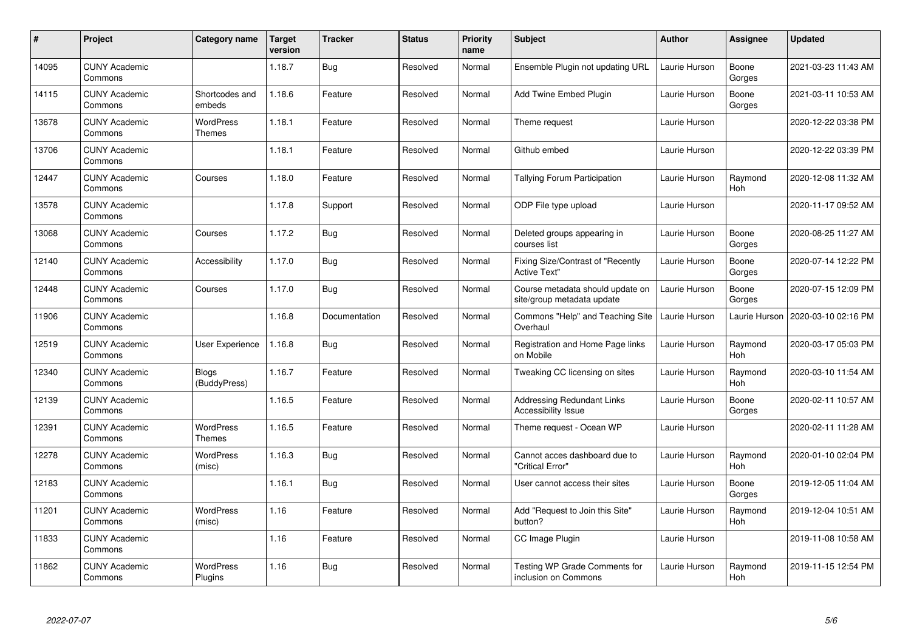| $\pmb{\sharp}$ | Project                         | Category name                | <b>Target</b><br>version | <b>Tracker</b> | <b>Status</b> | <b>Priority</b><br>name | <b>Subject</b>                                                  | <b>Author</b> | <b>Assignee</b>       | <b>Updated</b>      |
|----------------|---------------------------------|------------------------------|--------------------------|----------------|---------------|-------------------------|-----------------------------------------------------------------|---------------|-----------------------|---------------------|
| 14095          | <b>CUNY Academic</b><br>Commons |                              | 1.18.7                   | Bug            | Resolved      | Normal                  | Ensemble Plugin not updating URL                                | Laurie Hurson | Boone<br>Gorges       | 2021-03-23 11:43 AM |
| 14115          | <b>CUNY Academic</b><br>Commons | Shortcodes and<br>embeds     | 1.18.6                   | Feature        | Resolved      | Normal                  | Add Twine Embed Plugin                                          | Laurie Hurson | Boone<br>Gorges       | 2021-03-11 10:53 AM |
| 13678          | <b>CUNY Academic</b><br>Commons | <b>WordPress</b><br>Themes   | 1.18.1                   | Feature        | Resolved      | Normal                  | Theme request                                                   | Laurie Hurson |                       | 2020-12-22 03:38 PM |
| 13706          | <b>CUNY Academic</b><br>Commons |                              | 1.18.1                   | Feature        | Resolved      | Normal                  | Github embed                                                    | Laurie Hurson |                       | 2020-12-22 03:39 PM |
| 12447          | <b>CUNY Academic</b><br>Commons | Courses                      | 1.18.0                   | Feature        | Resolved      | Normal                  | <b>Tallying Forum Participation</b>                             | Laurie Hurson | Raymond<br><b>Hoh</b> | 2020-12-08 11:32 AM |
| 13578          | <b>CUNY Academic</b><br>Commons |                              | 1.17.8                   | Support        | Resolved      | Normal                  | ODP File type upload                                            | Laurie Hurson |                       | 2020-11-17 09:52 AM |
| 13068          | <b>CUNY Academic</b><br>Commons | Courses                      | 1.17.2                   | Bug            | Resolved      | Normal                  | Deleted groups appearing in<br>courses list                     | Laurie Hurson | Boone<br>Gorges       | 2020-08-25 11:27 AM |
| 12140          | <b>CUNY Academic</b><br>Commons | Accessibility                | 1.17.0                   | Bug            | Resolved      | Normal                  | Fixing Size/Contrast of "Recently<br><b>Active Text"</b>        | Laurie Hurson | Boone<br>Gorges       | 2020-07-14 12:22 PM |
| 12448          | <b>CUNY Academic</b><br>Commons | Courses                      | 1.17.0                   | <b>Bug</b>     | Resolved      | Normal                  | Course metadata should update on<br>site/group metadata update  | Laurie Hurson | Boone<br>Gorges       | 2020-07-15 12:09 PM |
| 11906          | <b>CUNY Academic</b><br>Commons |                              | 1.16.8                   | Documentation  | Resolved      | Normal                  | Commons "Help" and Teaching Site<br>Overhaul                    | Laurie Hurson | Laurie Hurson         | 2020-03-10 02:16 PM |
| 12519          | <b>CUNY Academic</b><br>Commons | User Experience              | 1.16.8                   | Bug            | Resolved      | Normal                  | Registration and Home Page links<br>on Mobile                   | Laurie Hurson | Raymond<br><b>Hoh</b> | 2020-03-17 05:03 PM |
| 12340          | <b>CUNY Academic</b><br>Commons | <b>Blogs</b><br>(BuddyPress) | 1.16.7                   | Feature        | Resolved      | Normal                  | Tweaking CC licensing on sites                                  | Laurie Hurson | Raymond<br>Hoh        | 2020-03-10 11:54 AM |
| 12139          | <b>CUNY Academic</b><br>Commons |                              | 1.16.5                   | Feature        | Resolved      | Normal                  | <b>Addressing Redundant Links</b><br><b>Accessibility Issue</b> | Laurie Hurson | Boone<br>Gorges       | 2020-02-11 10:57 AM |
| 12391          | <b>CUNY Academic</b><br>Commons | <b>WordPress</b><br>Themes   | 1.16.5                   | Feature        | Resolved      | Normal                  | Theme request - Ocean WP                                        | Laurie Hurson |                       | 2020-02-11 11:28 AM |
| 12278          | <b>CUNY Academic</b><br>Commons | WordPress<br>(misc)          | 1.16.3                   | <b>Bug</b>     | Resolved      | Normal                  | Cannot acces dashboard due to<br>"Critical Error"               | Laurie Hurson | Raymond<br>Hoh        | 2020-01-10 02:04 PM |
| 12183          | <b>CUNY Academic</b><br>Commons |                              | 1.16.1                   | <b>Bug</b>     | Resolved      | Normal                  | User cannot access their sites                                  | Laurie Hurson | Boone<br>Gorges       | 2019-12-05 11:04 AM |
| 11201          | <b>CUNY Academic</b><br>Commons | WordPress<br>(misc)          | 1.16                     | Feature        | Resolved      | Normal                  | Add "Request to Join this Site"<br>button?                      | Laurie Hurson | Raymond<br>Hoh        | 2019-12-04 10:51 AM |
| 11833          | <b>CUNY Academic</b><br>Commons |                              | 1.16                     | Feature        | Resolved      | Normal                  | CC Image Plugin                                                 | Laurie Hurson |                       | 2019-11-08 10:58 AM |
| 11862          | <b>CUNY Academic</b><br>Commons | WordPress<br>Plugins         | 1.16                     | Bug            | Resolved      | Normal                  | Testing WP Grade Comments for<br>inclusion on Commons           | Laurie Hurson | Raymond<br>Hoh        | 2019-11-15 12:54 PM |